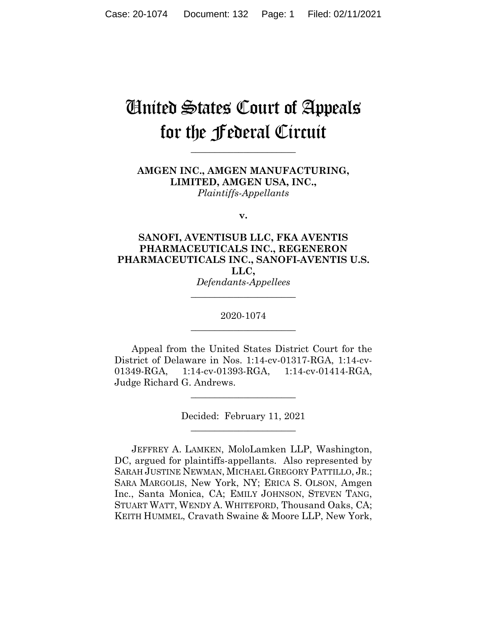# United States Court of Appeals for the Federal Circuit

**\_\_\_\_\_\_\_\_\_\_\_\_\_\_\_\_\_\_\_\_\_\_**

**AMGEN INC., AMGEN MANUFACTURING, LIMITED, AMGEN USA, INC.,** *Plaintiffs-Appellants*

**v.**

## **SANOFI, AVENTISUB LLC, FKA AVENTIS PHARMACEUTICALS INC., REGENERON PHARMACEUTICALS INC., SANOFI-AVENTIS U.S. LLC,**

*Defendants-Appellees* **\_\_\_\_\_\_\_\_\_\_\_\_\_\_\_\_\_\_\_\_\_\_**

2020-1074 **\_\_\_\_\_\_\_\_\_\_\_\_\_\_\_\_\_\_\_\_\_\_**

Appeal from the United States District Court for the District of Delaware in Nos. 1:14-cv-01317-RGA, 1:14-cv-01349-RGA, 1:14-cv-01393-RGA, 1:14-cv-01414-RGA, Judge Richard G. Andrews.

> Decided: February 11, 2021  $\overline{\phantom{a}}$  , where  $\overline{\phantom{a}}$  , where  $\overline{\phantom{a}}$  , where  $\overline{\phantom{a}}$

 $\overline{\phantom{a}}$  , where  $\overline{\phantom{a}}$  , where  $\overline{\phantom{a}}$  , where  $\overline{\phantom{a}}$ 

JEFFREY A. LAMKEN, MoloLamken LLP, Washington, DC, argued for plaintiffs-appellants. Also represented by SARAH JUSTINE NEWMAN, MICHAEL GREGORY PATTILLO, JR.; SARA MARGOLIS, New York, NY; ERICA S. OLSON, Amgen Inc., Santa Monica, CA; EMILY JOHNSON, STEVEN TANG, STUART WATT, WENDY A. WHITEFORD, Thousand Oaks, CA; KEITH HUMMEL, Cravath Swaine & Moore LLP, New York,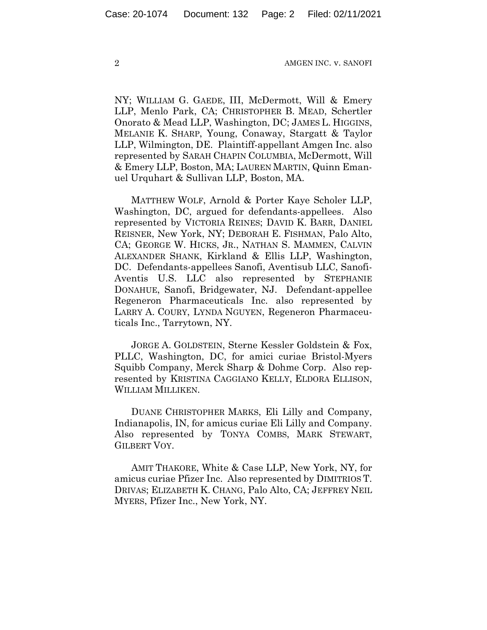NY; WILLIAM G. GAEDE, III, McDermott, Will & Emery LLP, Menlo Park, CA; CHRISTOPHER B. MEAD, Schertler Onorato & Mead LLP, Washington, DC; JAMES L. HIGGINS, MELANIE K. SHARP, Young, Conaway, Stargatt & Taylor LLP, Wilmington, DE. Plaintiff-appellant Amgen Inc. also represented by SARAH CHAPIN COLUMBIA, McDermott, Will & Emery LLP, Boston, MA; LAUREN MARTIN, Quinn Emanuel Urquhart & Sullivan LLP, Boston, MA.

 MATTHEW WOLF, Arnold & Porter Kaye Scholer LLP, Washington, DC, argued for defendants-appellees. Also represented by VICTORIA REINES; DAVID K. BARR, DANIEL REISNER, New York, NY; DEBORAH E. FISHMAN, Palo Alto, CA; GEORGE W. HICKS, JR., NATHAN S. MAMMEN, CALVIN ALEXANDER SHANK, Kirkland & Ellis LLP, Washington, DC. Defendants-appellees Sanofi, Aventisub LLC, Sanofi-Aventis U.S. LLC also represented by STEPHANIE DONAHUE, Sanofi, Bridgewater, NJ. Defendant-appellee Regeneron Pharmaceuticals Inc. also represented by LARRY A. COURY, LYNDA NGUYEN, Regeneron Pharmaceuticals Inc., Tarrytown, NY.

 JORGE A. GOLDSTEIN, Sterne Kessler Goldstein & Fox, PLLC, Washington, DC, for amici curiae Bristol-Myers Squibb Company, Merck Sharp & Dohme Corp. Also represented by KRISTINA CAGGIANO KELLY, ELDORA ELLISON, WILLIAM MILLIKEN.

 DUANE CHRISTOPHER MARKS, Eli Lilly and Company, Indianapolis, IN, for amicus curiae Eli Lilly and Company. Also represented by TONYA COMBS, MARK STEWART, GILBERT VOY.

 AMIT THAKORE, White & Case LLP, New York, NY, for amicus curiae Pfizer Inc. Also represented by DIMITRIOS T. DRIVAS; ELIZABETH K. CHANG, Palo Alto, CA; JEFFREY NEIL MYERS, Pfizer Inc., New York, NY.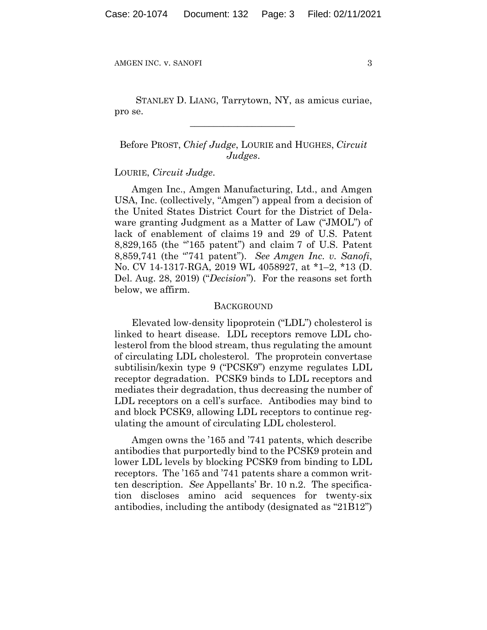STANLEY D. LIANG, Tarrytown, NY, as amicus curiae, pro se.

 $\mathcal{L}_\text{max}$  and  $\mathcal{L}_\text{max}$  and  $\mathcal{L}_\text{max}$  and  $\mathcal{L}_\text{max}$ 

Before PROST, *Chief Judge*, LOURIE and HUGHES, *Circuit Judges*.

## LOURIE, *Circuit Judge*.

Amgen Inc., Amgen Manufacturing, Ltd., and Amgen USA, Inc. (collectively, "Amgen") appeal from a decision of the United States District Court for the District of Delaware granting Judgment as a Matter of Law ("JMOL") of lack of enablement of claims 19 and 29 of U.S. Patent 8,829,165 (the "'165 patent") and claim 7 of U.S. Patent 8,859,741 (the "'741 patent"). *See Amgen Inc. v. Sanofi*, No. CV 14-1317-RGA, 2019 WL 4058927, at \*1–2, \*13 (D. Del. Aug. 28, 2019) ("*Decision*"). For the reasons set forth below, we affirm.

#### BACKGROUND

Elevated low-density lipoprotein ("LDL") cholesterol is linked to heart disease. LDL receptors remove LDL cholesterol from the blood stream, thus regulating the amount of circulating LDL cholesterol. The proprotein convertase subtilisin/kexin type 9 ("PCSK9") enzyme regulates LDL receptor degradation. PCSK9 binds to LDL receptors and mediates their degradation, thus decreasing the number of LDL receptors on a cell's surface. Antibodies may bind to and block PCSK9, allowing LDL receptors to continue regulating the amount of circulating LDL cholesterol.

Amgen owns the '165 and '741 patents, which describe antibodies that purportedly bind to the PCSK9 protein and lower LDL levels by blocking PCSK9 from binding to LDL receptors. The '165 and '741 patents share a common written description. *See* Appellants' Br. 10 n.2. The specification discloses amino acid sequences for twenty-six antibodies, including the antibody (designated as "21B12")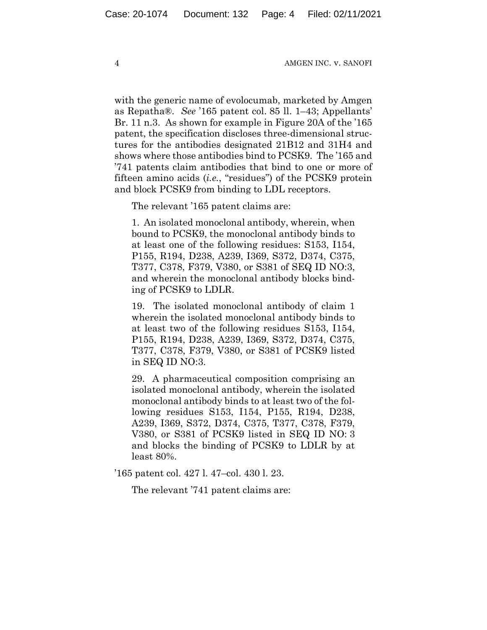with the generic name of evolocumab, marketed by Amgen as Repatha®. *See* '165 patent col. 85 ll. 1–43; Appellants' Br. 11 n.3. As shown for example in Figure 20A of the '165 patent, the specification discloses three-dimensional structures for the antibodies designated 21B12 and 31H4 and shows where those antibodies bind to PCSK9. The '165 and '741 patents claim antibodies that bind to one or more of fifteen amino acids (*i.e.*, "residues") of the PCSK9 protein and block PCSK9 from binding to LDL receptors.

The relevant '165 patent claims are:

1. An isolated monoclonal antibody, wherein, when bound to PCSK9, the monoclonal antibody binds to at least one of the following residues: S153, I154, P155, R194, D238, A239, I369, S372, D374, C375, T377, C378, F379, V380, or S381 of SEQ ID NO:3, and wherein the monoclonal antibody blocks binding of PCSK9 to LDLR.

19. The isolated monoclonal antibody of claim 1 wherein the isolated monoclonal antibody binds to at least two of the following residues S153, I154, P155, R194, D238, A239, I369, S372, D374, C375, T377, C378, F379, V380, or S381 of PCSK9 listed in SEQ ID NO:3.

29. A pharmaceutical composition comprising an isolated monoclonal antibody, wherein the isolated monoclonal antibody binds to at least two of the following residues S153, I154, P155, R194, D238, A239, I369, S372, D374, C375, T377, C378, F379, V380, or S381 of PCSK9 listed in SEQ ID NO: 3 and blocks the binding of PCSK9 to LDLR by at least 80%.

'165 patent col. 427 l. 47–col. 430 l. 23.

The relevant '741 patent claims are: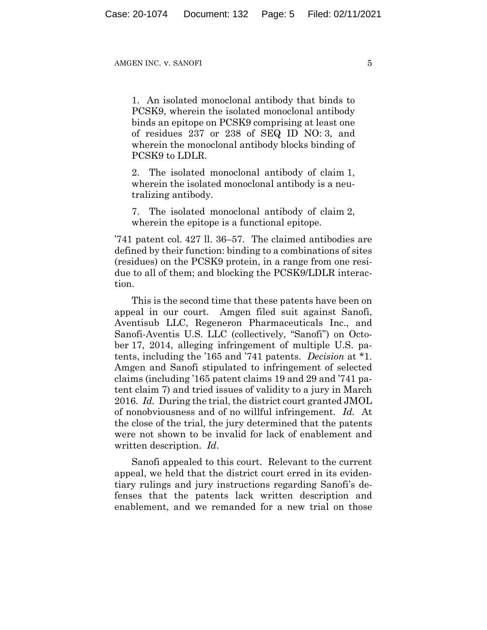1. An isolated monoclonal antibody that binds to PCSK9, wherein the isolated monoclonal antibody binds an epitope on PCSK9 comprising at least one of residues 237 or 238 of SEQ ID NO: 3, and wherein the monoclonal antibody blocks binding of PCSK9 to LDLR.

2. The isolated monoclonal antibody of claim 1, wherein the isolated monoclonal antibody is a neutralizing antibody.

7. The isolated monoclonal antibody of claim 2, wherein the epitope is a functional epitope.

'741 patent col. 427 ll. 36–57. The claimed antibodies are defined by their function: binding to a combinations of sites (residues) on the PCSK9 protein, in a range from one residue to all of them; and blocking the PCSK9/LDLR interaction.

This is the second time that these patents have been on appeal in our court. Amgen filed suit against Sanofi, Aventisub LLC, Regeneron Pharmaceuticals Inc., and Sanofi-Aventis U.S. LLC (collectively, "Sanofi") on October 17, 2014, alleging infringement of multiple U.S. patents, including the '165 and '741 patents. *Decision* at \*1. Amgen and Sanofi stipulated to infringement of selected claims (including '165 patent claims 19 and 29 and '741 patent claim 7) and tried issues of validity to a jury in March 2016. *Id.* During the trial, the district court granted JMOL of nonobviousness and of no willful infringement. *Id.* At the close of the trial, the jury determined that the patents were not shown to be invalid for lack of enablement and written description. *Id*.

Sanofi appealed to this court. Relevant to the current appeal, we held that the district court erred in its evidentiary rulings and jury instructions regarding Sanofi's defenses that the patents lack written description and enablement, and we remanded for a new trial on those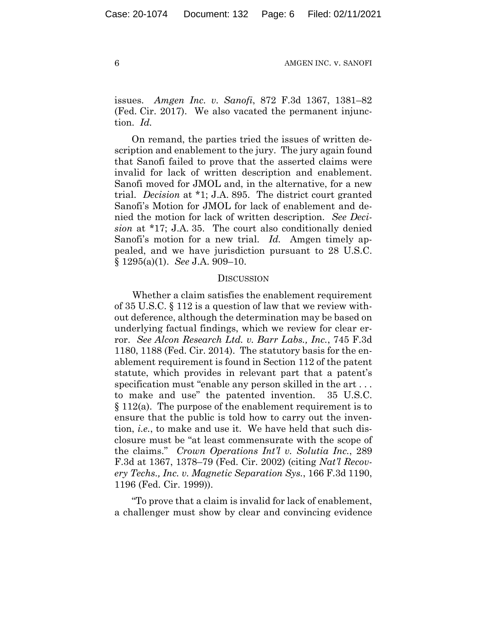issues. *Amgen Inc. v. Sanofi*, 872 F.3d 1367, 1381–82 (Fed. Cir. 2017). We also vacated the permanent injunction. *Id.*

On remand, the parties tried the issues of written description and enablement to the jury. The jury again found that Sanofi failed to prove that the asserted claims were invalid for lack of written description and enablement. Sanofi moved for JMOL and, in the alternative, for a new trial. *Decision* at \*1; J.A. 895. The district court granted Sanofi's Motion for JMOL for lack of enablement and denied the motion for lack of written description. *See Decision* at \*17; J.A. 35. The court also conditionally denied Sanofi's motion for a new trial. *Id.* Amgen timely appealed, and we have jurisdiction pursuant to 28 U.S.C. § 1295(a)(1). *See* J.A. 909–10.

#### **DISCUSSION**

Whether a claim satisfies the enablement requirement of 35 U.S.C. § 112 is a question of law that we review without deference, although the determination may be based on underlying factual findings, which we review for clear error. *See Alcon Research Ltd. v. Barr Labs., Inc.*, 745 F.3d 1180, 1188 (Fed. Cir. 2014). The statutory basis for the enablement requirement is found in Section 112 of the patent statute, which provides in relevant part that a patent's specification must "enable any person skilled in the art . . . to make and use" the patented invention. 35 U.S.C. § 112(a). The purpose of the enablement requirement is to ensure that the public is told how to carry out the invention, *i.e.*, to make and use it. We have held that such disclosure must be "at least commensurate with the scope of the claims." *Crown Operations Int'l v. Solutia Inc.*, 289 F.3d at 1367, 1378–79 (Fed. Cir. 2002) (citing *Nat'l Recovery Techs., Inc. v. Magnetic Separation Sys.*, 166 F.3d 1190, 1196 (Fed. Cir. 1999)).

"To prove that a claim is invalid for lack of enablement, a challenger must show by clear and convincing evidence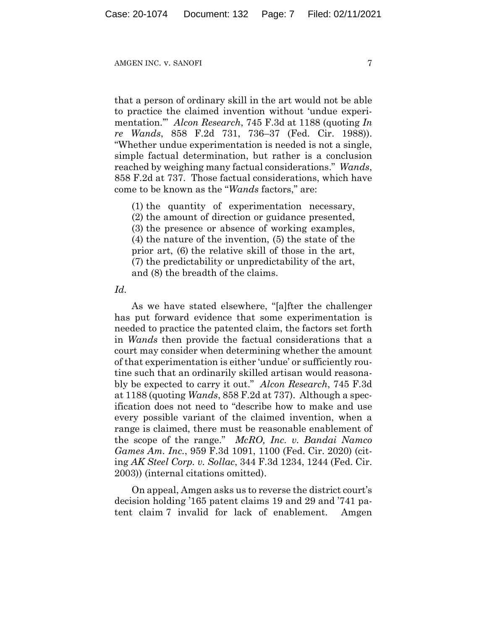that a person of ordinary skill in the art would not be able to practice the claimed invention without 'undue experimentation.'" *Alcon Research*, 745 F.3d at 1188 (quoting *In re Wands*, 858 F.2d 731, 736–37 (Fed. Cir. 1988)). "Whether undue experimentation is needed is not a single, simple factual determination, but rather is a conclusion reached by weighing many factual considerations." *Wands*, 858 F.2d at 737. Those factual considerations, which have come to be known as the "*Wands* factors," are:

(1) the quantity of experimentation necessary, (2) the amount of direction or guidance presented, (3) the presence or absence of working examples, (4) the nature of the invention, (5) the state of the prior art, (6) the relative skill of those in the art, (7) the predictability or unpredictability of the art, and (8) the breadth of the claims.

### *Id.*

As we have stated elsewhere, "[a]fter the challenger has put forward evidence that some experimentation is needed to practice the patented claim, the factors set forth in *Wands* then provide the factual considerations that a court may consider when determining whether the amount of that experimentation is either 'undue' or sufficiently routine such that an ordinarily skilled artisan would reasonably be expected to carry it out." *Alcon Research*, 745 F.3d at 1188 (quoting *Wands*, 858 F.2d at 737). Although a specification does not need to "describe how to make and use every possible variant of the claimed invention, when a range is claimed, there must be reasonable enablement of the scope of the range." *McRO, Inc. v. Bandai Namco Games Am. Inc.*, 959 F.3d 1091, 1100 (Fed. Cir. 2020) (citing *AK Steel Corp. v. Sollac*, 344 F.3d 1234, 1244 (Fed. Cir. 2003)) (internal citations omitted).

On appeal, Amgen asks us to reverse the district court's decision holding '165 patent claims 19 and 29 and '741 patent claim 7 invalid for lack of enablement. Amgen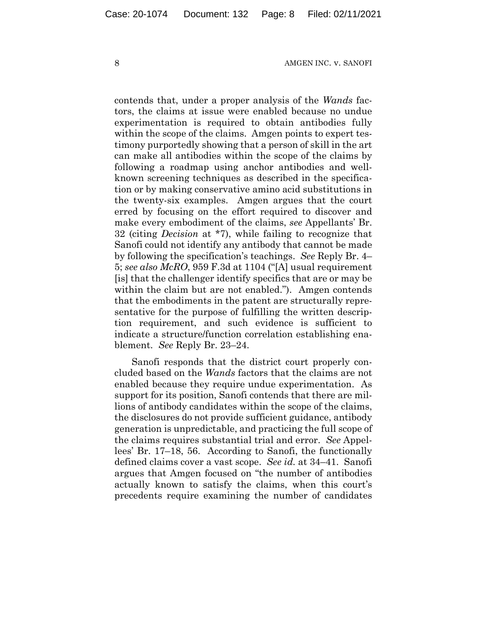contends that, under a proper analysis of the *Wands* factors, the claims at issue were enabled because no undue experimentation is required to obtain antibodies fully within the scope of the claims. Amgen points to expert testimony purportedly showing that a person of skill in the art can make all antibodies within the scope of the claims by following a roadmap using anchor antibodies and wellknown screening techniques as described in the specification or by making conservative amino acid substitutions in the twenty-six examples. Amgen argues that the court erred by focusing on the effort required to discover and make every embodiment of the claims, *see* Appellants' Br. 32 (citing *Decision* at \*7), while failing to recognize that Sanofi could not identify any antibody that cannot be made by following the specification's teachings. *See* Reply Br. 4– 5; *see also McRO*, 959 F.3d at 1104 ("[A] usual requirement [is] that the challenger identify specifics that are or may be within the claim but are not enabled."). Amgen contends that the embodiments in the patent are structurally representative for the purpose of fulfilling the written description requirement, and such evidence is sufficient to indicate a structure/function correlation establishing enablement. *See* Reply Br. 23–24.

Sanofi responds that the district court properly concluded based on the *Wands* factors that the claims are not enabled because they require undue experimentation. As support for its position, Sanofi contends that there are millions of antibody candidates within the scope of the claims, the disclosures do not provide sufficient guidance, antibody generation is unpredictable, and practicing the full scope of the claims requires substantial trial and error. *See* Appellees' Br. 17–18, 56. According to Sanofi, the functionally defined claims cover a vast scope. *See id.* at 34–41. Sanofi argues that Amgen focused on "the number of antibodies actually known to satisfy the claims, when this court's precedents require examining the number of candidates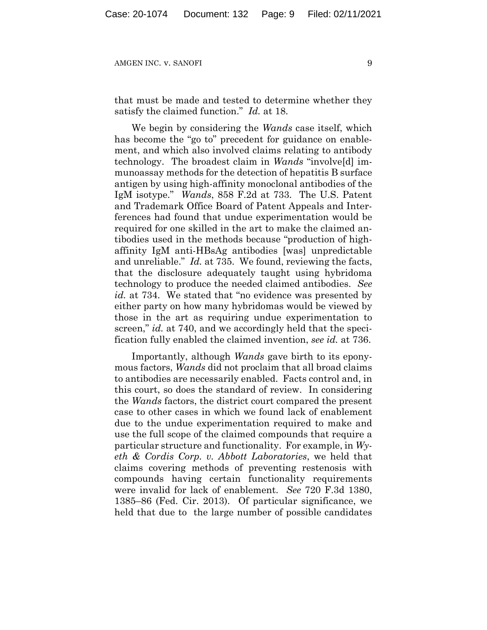that must be made and tested to determine whether they satisfy the claimed function." *Id.* at 18.

We begin by considering the *Wands* case itself, which has become the "go to" precedent for guidance on enablement, and which also involved claims relating to antibody technology. The broadest claim in *Wands* "involve[d] immunoassay methods for the detection of hepatitis B surface antigen by using high-affinity monoclonal antibodies of the IgM isotype." *Wands*, 858 F.2d at 733. The U.S. Patent and Trademark Office Board of Patent Appeals and Interferences had found that undue experimentation would be required for one skilled in the art to make the claimed antibodies used in the methods because "production of highaffinity IgM anti-HBsAg antibodies [was] unpredictable and unreliable." *Id.* at 735. We found, reviewing the facts, that the disclosure adequately taught using hybridoma technology to produce the needed claimed antibodies. *See id.* at 734. We stated that "no evidence was presented by either party on how many hybridomas would be viewed by those in the art as requiring undue experimentation to screen," *id.* at 740, and we accordingly held that the specification fully enabled the claimed invention, *see id.* at 736.

Importantly, although *Wands* gave birth to its eponymous factors, *Wands* did not proclaim that all broad claims to antibodies are necessarily enabled. Facts control and, in this court, so does the standard of review. In considering the *Wands* factors, the district court compared the present case to other cases in which we found lack of enablement due to the undue experimentation required to make and use the full scope of the claimed compounds that require a particular structure and functionality. For example, in *Wyeth & Cordis Corp. v. Abbott Laboratories*, we held that claims covering methods of preventing restenosis with compounds having certain functionality requirements were invalid for lack of enablement. *See* 720 F.3d 1380, 1385–86 (Fed. Cir. 2013). Of particular significance, we held that due to the large number of possible candidates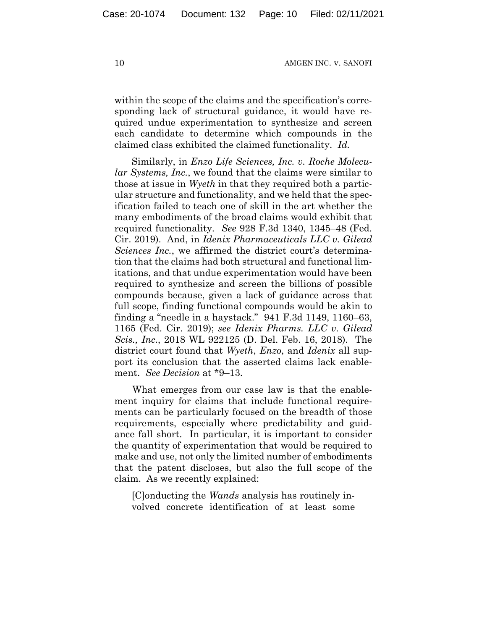within the scope of the claims and the specification's corresponding lack of structural guidance, it would have required undue experimentation to synthesize and screen each candidate to determine which compounds in the claimed class exhibited the claimed functionality. *Id.*

Similarly, in *Enzo Life Sciences, Inc. v. Roche Molecular Systems, Inc.*, we found that the claims were similar to those at issue in *Wyeth* in that they required both a particular structure and functionality, and we held that the specification failed to teach one of skill in the art whether the many embodiments of the broad claims would exhibit that required functionality. *See* 928 F.3d 1340, 1345–48 (Fed. Cir. 2019). And, in *Idenix Pharmaceuticals LLC v. Gilead Sciences Inc.*, we affirmed the district court's determination that the claims had both structural and functional limitations, and that undue experimentation would have been required to synthesize and screen the billions of possible compounds because, given a lack of guidance across that full scope, finding functional compounds would be akin to finding a "needle in a haystack." 941 F.3d 1149, 1160–63, 1165 (Fed. Cir. 2019); *see Idenix Pharms. LLC v. Gilead Scis., Inc.*, 2018 WL 922125 (D. Del. Feb. 16, 2018). The district court found that *Wyeth*, *Enzo*, and *Idenix* all support its conclusion that the asserted claims lack enablement. *See Decision* at \*9–13.

What emerges from our case law is that the enablement inquiry for claims that include functional requirements can be particularly focused on the breadth of those requirements, especially where predictability and guidance fall short. In particular, it is important to consider the quantity of experimentation that would be required to make and use, not only the limited number of embodiments that the patent discloses, but also the full scope of the claim. As we recently explained:

[C]onducting the *Wands* analysis has routinely involved concrete identification of at least some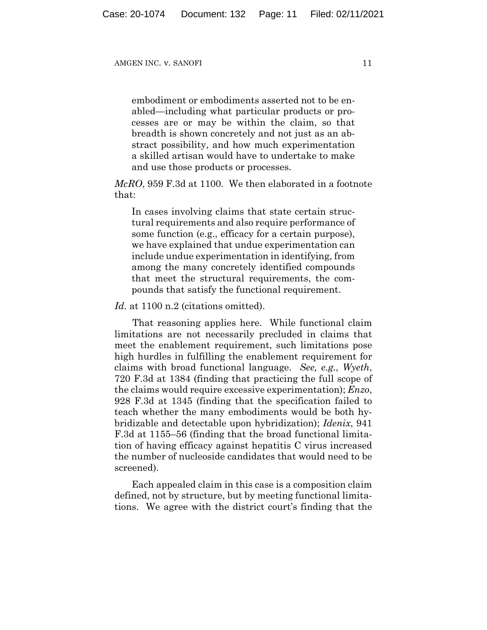embodiment or embodiments asserted not to be enabled—including what particular products or processes are or may be within the claim, so that breadth is shown concretely and not just as an abstract possibility, and how much experimentation a skilled artisan would have to undertake to make and use those products or processes.

*McRO*, 959 F.3d at 1100. We then elaborated in a footnote that:

In cases involving claims that state certain structural requirements and also require performance of some function (e.g., efficacy for a certain purpose), we have explained that undue experimentation can include undue experimentation in identifying, from among the many concretely identified compounds that meet the structural requirements, the compounds that satisfy the functional requirement.

Id. at 1100 n.2 (citations omitted).

That reasoning applies here. While functional claim limitations are not necessarily precluded in claims that meet the enablement requirement, such limitations pose high hurdles in fulfilling the enablement requirement for claims with broad functional language. *See, e.g.*, *Wyeth*, 720 F.3d at 1384 (finding that practicing the full scope of the claims would require excessive experimentation); *Enzo*, 928 F.3d at 1345 (finding that the specification failed to teach whether the many embodiments would be both hybridizable and detectable upon hybridization); *Idenix*, 941 F.3d at 1155–56 (finding that the broad functional limitation of having efficacy against hepatitis C virus increased the number of nucleoside candidates that would need to be screened).

Each appealed claim in this case is a composition claim defined, not by structure, but by meeting functional limitations. We agree with the district court's finding that the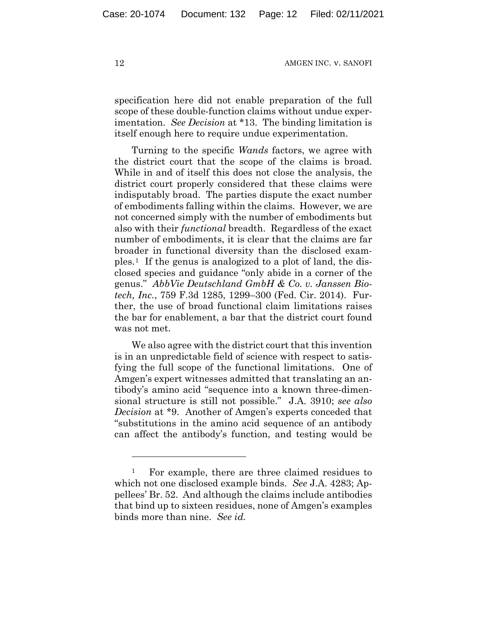specification here did not enable preparation of the full scope of these double-function claims without undue experimentation. *See Decision* at \*13. The binding limitation is itself enough here to require undue experimentation.

Turning to the specific *Wands* factors, we agree with the district court that the scope of the claims is broad. While in and of itself this does not close the analysis, the district court properly considered that these claims were indisputably broad. The parties dispute the exact number of embodiments falling within the claims. However, we are not concerned simply with the number of embodiments but also with their *functional* breadth. Regardless of the exact number of embodiments, it is clear that the claims are far broader in functional diversity than the disclosed examples.[1](#page-11-0) If the genus is analogized to a plot of land, the disclosed species and guidance "only abide in a corner of the genus." *AbbVie Deutschland GmbH & Co. v. Janssen Biotech, Inc.*, 759 F.3d 1285, 1299–300 (Fed. Cir. 2014). Further, the use of broad functional claim limitations raises the bar for enablement, a bar that the district court found was not met.

We also agree with the district court that this invention is in an unpredictable field of science with respect to satisfying the full scope of the functional limitations. One of Amgen's expert witnesses admitted that translating an antibody's amino acid "sequence into a known three-dimensional structure is still not possible." J.A. 3910; *see also Decision* at \*9. Another of Amgen's experts conceded that "substitutions in the amino acid sequence of an antibody can affect the antibody's function, and testing would be

<span id="page-11-0"></span><sup>&</sup>lt;sup>1</sup> For example, there are three claimed residues to which not one disclosed example binds. *See* J.A. 4283; Appellees' Br. 52. And although the claims include antibodies that bind up to sixteen residues, none of Amgen's examples binds more than nine. *See id.*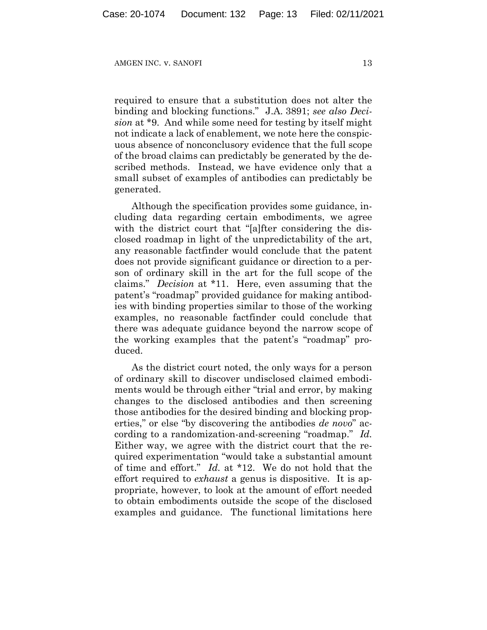required to ensure that a substitution does not alter the binding and blocking functions." J.A. 3891; *see also Decision* at \*9. And while some need for testing by itself might not indicate a lack of enablement, we note here the conspicuous absence of nonconclusory evidence that the full scope of the broad claims can predictably be generated by the described methods. Instead, we have evidence only that a small subset of examples of antibodies can predictably be generated.

Although the specification provides some guidance, including data regarding certain embodiments, we agree with the district court that "[a]fter considering the disclosed roadmap in light of the unpredictability of the art, any reasonable factfinder would conclude that the patent does not provide significant guidance or direction to a person of ordinary skill in the art for the full scope of the claims." *Decision* at \*11. Here, even assuming that the patent's "roadmap" provided guidance for making antibodies with binding properties similar to those of the working examples, no reasonable factfinder could conclude that there was adequate guidance beyond the narrow scope of the working examples that the patent's "roadmap" produced.

As the district court noted, the only ways for a person of ordinary skill to discover undisclosed claimed embodiments would be through either "trial and error, by making changes to the disclosed antibodies and then screening those antibodies for the desired binding and blocking properties," or else "by discovering the antibodies *de novo*" according to a randomization-and-screening "roadmap." *Id.* Either way, we agree with the district court that the required experimentation "would take a substantial amount of time and effort." *Id.* at \*12. We do not hold that the effort required to *exhaust* a genus is dispositive. It is appropriate, however, to look at the amount of effort needed to obtain embodiments outside the scope of the disclosed examples and guidance. The functional limitations here